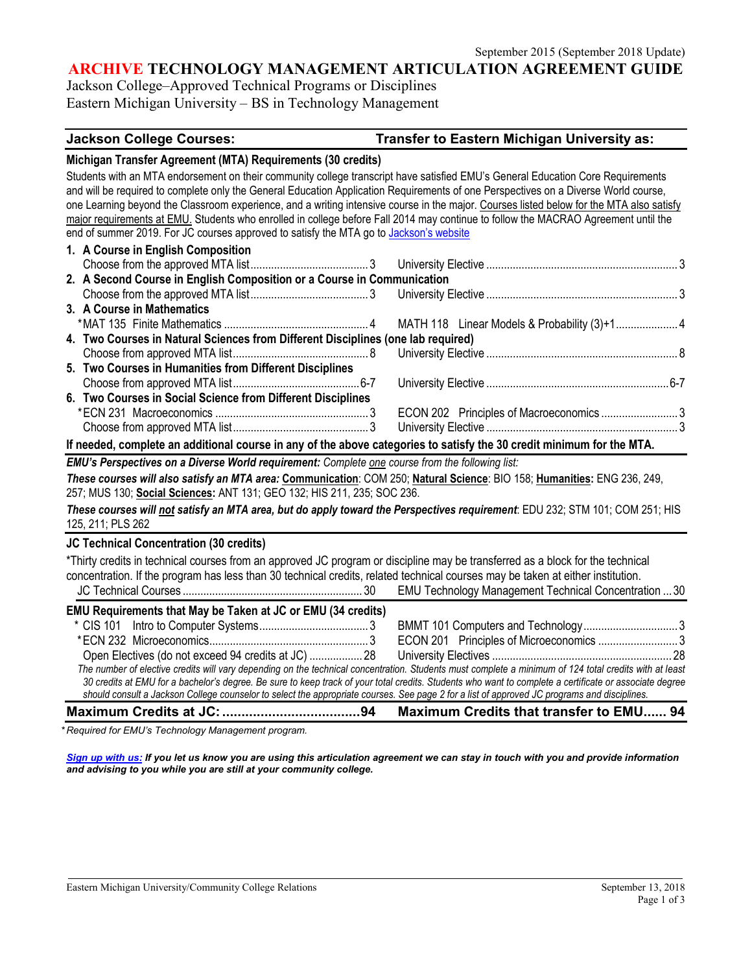#### **ARCHIVE TECHNOLOGY MANAGEMENT ARTICULATION AGREEMENT GUIDE**

Jackson College–Approved Technical Programs or Disciplines Eastern Michigan University – BS in Technology Management

#### **Jackson College Courses: Transfer to Eastern Michigan University as:**

#### **Michigan Transfer Agreement (MTA) Requirements (30 credits)**

Students with an MTA endorsement on their community college transcript have satisfied EMU's General Education Core Requirements and will be required to complete only the General Education Application Requirements of one Perspectives on a Diverse World course, one Learning beyond the Classroom experience, and a writing intensive course in the major. Courses listed below for the MTA also satisfy major requirements at EMU. Students who enrolled in college before Fall 2014 may continue to follow the MACRAO Agreement until the end of summer 2019. For JC courses approved to satisfy the MTA go t[o Jackson's website](http://www.jccmi.edu/studentservices/transfer/guides/michigantransferagreement.htm)

| 1. A Course in English Composition                                               |                                         |  |
|----------------------------------------------------------------------------------|-----------------------------------------|--|
|                                                                                  |                                         |  |
| 2. A Second Course in English Composition or a Course in Communication           |                                         |  |
|                                                                                  |                                         |  |
| 3. A Course in Mathematics                                                       |                                         |  |
|                                                                                  |                                         |  |
| 4. Two Courses in Natural Sciences from Different Disciplines (one lab required) |                                         |  |
|                                                                                  |                                         |  |
| 5. Two Courses in Humanities from Different Disciplines                          |                                         |  |
|                                                                                  |                                         |  |
| 6. Two Courses in Social Science from Different Disciplines                      |                                         |  |
|                                                                                  | ECON 202 Principles of Macroeconomics 3 |  |
|                                                                                  |                                         |  |
|                                                                                  |                                         |  |

#### **If needed, complete an additional course in any of the above categories to satisfy the 30 credit minimum for the MTA.**

*EMU's Perspectives on a Diverse World requirement: Complete one course from the following list:* 

*These courses will also satisfy an MTA area:* **Communication**: COM 250; **Natural Science**: BIO 158; **Humanities:** ENG 236, 249, 257; MUS 130; **Social Sciences:** ANT 131; GEO 132; HIS 211, 235; SOC 236.

*These courses will not satisfy an MTA area, but do apply toward the Perspectives requirement*: EDU 232; STM 101; COM 251; HIS 125, 211; PLS 262

#### **JC Technical Concentration (30 credits)**

\*Thirty credits in technical courses from an approved JC program or discipline may be transferred as a block for the technical concentration. If the program has less than 30 technical credits, related technical courses may be taken at either institution. JC Technical Courses ............................................................. 30 EMU Technology Management Technical Concentration ...30 **EMU Requirements that May be Taken at JC or EMU (34 credits)** \* CIS 101 Intro to Computer Systems..................................... 3 BMMT 101 Computers and Technology................................ 3 \*ECN 232 Microeconomics...................................................... 3 ECON 201 Principles of Microeconomics ........................... 3 Open Electives (do not exceed 94 credits at JC) .................. 28 University Electives ............................................................. 28 *The number of elective credits will vary depending on the technical concentration. Students must complete a minimum of 124 total credits with at least 30 credits at EMU for a bachelor's degree. Be sure to keep track of your total credits. Students who want to complete a certificate or associate degree should consult a Jackson College counselor to select the appropriate courses. See page 2 for a list of approved JC programs and disciplines.*

**Maximum Credits at JC:....................................94 Maximum Credits that transfer to EMU...... 94**

*\* Required for EMU's Technology Management program.* 

*[Sign up with us:](https://www.emich.edu/ccr/articulation-agreements/signup.php.) If you let us know you are using this articulation agreement we can stay in touch with you and provide information and advising to you while you are still at your community college.*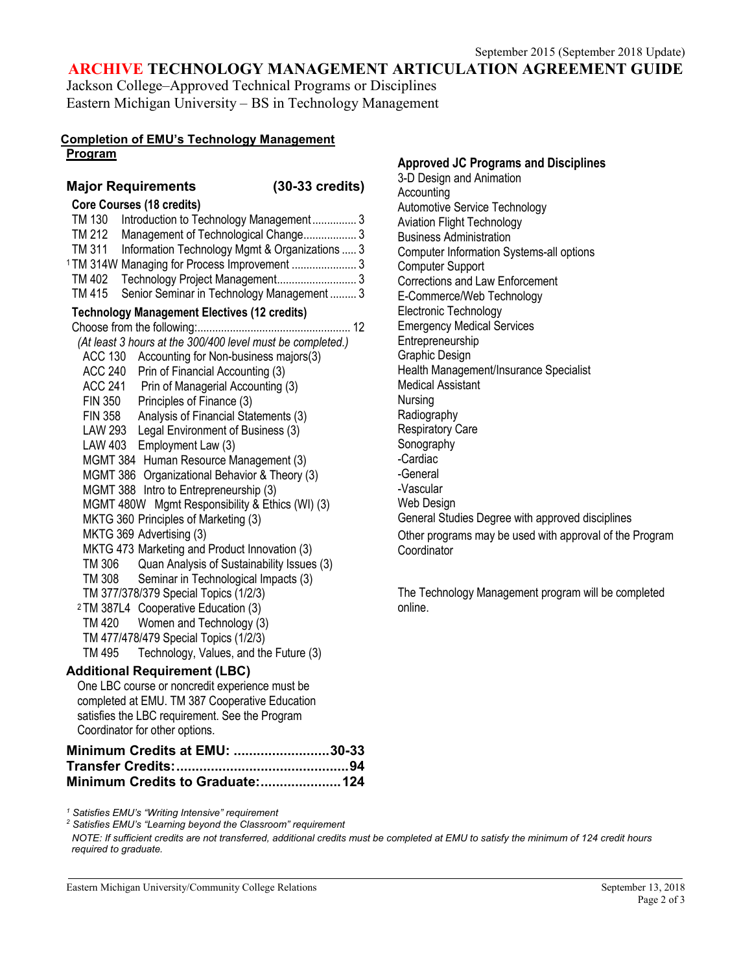#### **ARCHIVE TECHNOLOGY MANAGEMENT ARTICULATION AGREEMENT GUIDE**

Jackson College–Approved Technical Programs or Disciplines Eastern Michigan University – BS in Technology Management

## **Completion of EMU's Technology Management**

#### **Program**

**Major Requirements (30-33 credits) Core Courses (18 credits)** TM 130 Introduction to Technology Management............... 3 TM 212 Management of Technological Change.................. 3 TM 311 Information Technology Mgmt & Organizations ..... 3 <sup>1</sup> TM 314W Managing for Process Improvement ...................... 3 TM 402 Technology Project Management........................... 3 TM 415 Senior Seminar in Technology Management ......... 3 **Technology Management Electives (12 credits)**  Choose from the following:.................................................... 12 *(At least 3 hours at the 300/400 level must be completed.)* ACC 130 Accounting for Non-business majors(3) ACC 240 Prin of Financial Accounting (3) ACC 241 Prin of Managerial Accounting (3) FIN 350 Principles of Finance (3) FIN 358 Analysis of Financial Statements (3) LAW 293 Legal Environment of Business (3) LAW 403 Employment Law (3) MGMT 384 Human Resource Management (3) MGMT 386 Organizational Behavior & Theory (3) MGMT 388 Intro to Entrepreneurship (3) MGMT 480W Mgmt Responsibility & Ethics (WI) (3) MKTG 360 Principles of Marketing (3) MKTG 369 Advertising (3) MKTG 473 Marketing and Product Innovation (3) TM 306 Quan Analysis of Sustainability Issues (3) TM 308 Seminar in Technological Impacts (3) TM 377/378/379 Special Topics (1/2/3) <sup>2</sup> TM 387L4 Cooperative Education (3) TM 420 Women and Technology (3) TM 477/478/479 Special Topics (1/2/3) TM 495 Technology, Values, and the Future (3) **Additional Requirement (LBC)** One LBC course or noncredit experience must be

#### **Accounting** Automotive Service Technology Aviation Flight Technology Business Administration Computer Information Systems-all options Computer Support Corrections and Law Enforcement E-Commerce/Web Technology Electronic Technology Emergency Medical Services Entrepreneurship Graphic Design Health Management/Insurance Specialist Medical Assistant Nursing **Radiography** Respiratory Care Sonography -Cardiac -General -Vascular Web Design

**Approved JC Programs and Disciplines**

3-D Design and Animation

General Studies Degree with approved disciplines Other programs may be used with approval of the Program **Coordinator** 

The Technology Management program will be completed online.

## completed at EMU. TM 387 Cooperative Education satisfies the LBC requirement. See the Program Coordinator for other options.

| Minimum Credits at EMU: 30-33 |  |
|-------------------------------|--|
|                               |  |
|                               |  |

*<sup>1</sup> Satisfies EMU's "Writing Intensive" requirement*

*<sup>2</sup> Satisfies EMU's "Learning beyond the Classroom" requirement NOTE: If sufficient credits are not transferred, additional credits must be completed at EMU to satisfy the minimum of 124 credit hours required to graduate.*

Eastern Michigan University/Community College Relations **September 13, 2018** September 13, 2018